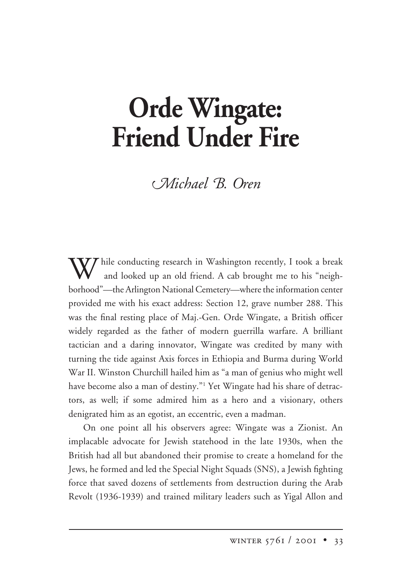## **Orde Wingate: Friend Under Fire**

*ichael -. ren*

W/hile conducting research in Washington recently, I took a break and looked up an old friend. A cab brought me to his "neighborhood"—the Arlington National Cemetery—where the information center provided me with his exact address: Section 12, grave number 288. This was the final resting place of Maj.-Gen. Orde Wingate, a British officer widely regarded as the father of modern guerrilla warfare. A brilliant tactician and a daring innovator, Wingate was credited by many with turning the tide against Axis forces in Ethiopia and Burma during World War II. Winston Churchill hailed him as "a man of genius who might well have become also a man of destiny."<sup>1</sup> Yet Wingate had his share of detractors, as well; if some admired him as a hero and a visionary, others denigrated him as an egotist, an eccentric, even a madman.

On one point all his observers agree: Wingate was a Zionist. An implacable advocate for Jewish statehood in the late 1930s, when the British had all but abandoned their promise to create a homeland for the Jews, he formed and led the Special Night Squads (SNS), a Jewish fighting force that saved dozens of settlements from destruction during the Arab Revolt (1936-1939) and trained military leaders such as Yigal Allon and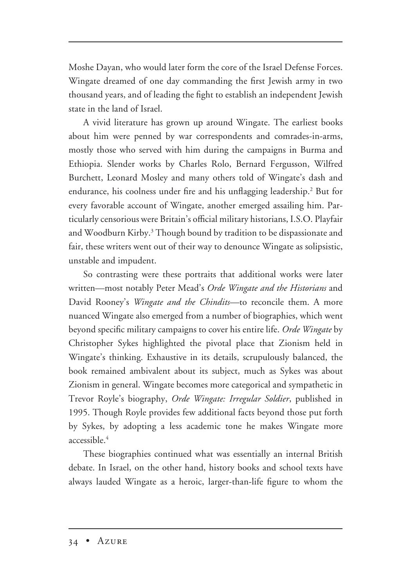Moshe Dayan, who would later form the core of the Israel Defense Forces. Wingate dreamed of one day commanding the first Jewish army in two thousand years, and of leading the fight to establish an independent Jewish state in the land of Israel.

A vivid literature has grown up around Wingate. The earliest books about him were penned by war correspondents and comrades-in-arms, mostly those who served with him during the campaigns in Burma and Ethiopia. Slender works by Charles Rolo, Bernard Fergusson, Wilfred Burchett, Leonard Mosley and many others told of Wingate's dash and endurance, his coolness under fire and his unflagging leadership.<sup>2</sup> But for every favorable account of Wingate, another emerged assailing him. Particularly censorious were Britain's official military historians, I.S.O. Playfair and Woodburn Kirby.<sup>3</sup> Though bound by tradition to be dispassionate and fair, these writers went out of their way to denounce Wingate as solipsistic, unstable and impudent.

So contrasting were these portraits that additional works were later written—most notably Peter Mead's *Orde Wingate and the Historians* and David Rooney's *Wingate and the Chindits—*to reconcile them. A more nuanced Wingate also emerged from a number of biographies, which went beyond specific military campaigns to cover his entire life. *Orde Wingate* by Christopher Sykes highlighted the pivotal place that Zionism held in Wingate's thinking. Exhaustive in its details, scrupulously balanced, the book remained ambivalent about its subject, much as Sykes was about Zionism in general. Wingate becomes more categorical and sympathetic in Trevor Royle's biography, *Orde Wingate: Irregular Soldier*, published in 1995. Though Royle provides few additional facts beyond those put forth by Sykes, by adopting a less academic tone he makes Wingate more accessible.<sup>4</sup>

These biographies continued what was essentially an internal British debate. In Israel, on the other hand, history books and school texts have always lauded Wingate as a heroic, larger-than-life figure to whom the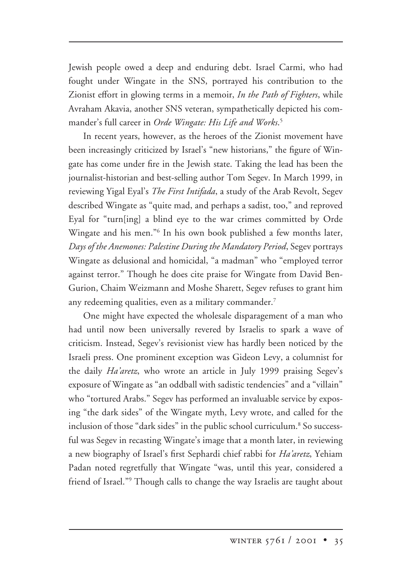Jewish people owed a deep and enduring debt. Israel Carmi, who had fought under Wingate in the SNS, portrayed his contribution to the Zionist effort in glowing terms in a memoir, *In the Path of Fighters*, while Avraham Akavia, another SNS veteran, sympathetically depicted his commander's full career in *Orde Wingate: His Life and Works*. 5

In recent years, however, as the heroes of the Zionist movement have been increasingly criticized by Israel's "new historians," the figure of Wingate has come under fire in the Jewish state. Taking the lead has been the journalist-historian and best-selling author Tom Segev. In March 1999, in reviewing Yigal Eyal's *The First Intifada*, a study of the Arab Revolt, Segev described Wingate as "quite mad, and perhaps a sadist, too," and reproved Eyal for "turn[ing] a blind eye to the war crimes committed by Orde Wingate and his men."6 In his own book published a few months later, *Days of the Anemones: Palestine During the Mandatory Period*, Segev portrays Wingate as delusional and homicidal, "a madman" who "employed terror against terror." Though he does cite praise for Wingate from David Ben-Gurion, Chaim Weizmann and Moshe Sharett, Segev refuses to grant him any redeeming qualities, even as a military commander.<sup>7</sup>

One might have expected the wholesale disparagement of a man who had until now been universally revered by Israelis to spark a wave of criticism. Instead, Segev's revisionist view has hardly been noticed by the Israeli press. One prominent exception was Gideon Levy, a columnist for the daily *Ha'aretz*, who wrote an article in July 1999 praising Segev's exposure of Wingate as "an oddball with sadistic tendencies" and a "villain" who "tortured Arabs." Segev has performed an invaluable service by exposing "the dark sides" of the Wingate myth, Levy wrote, and called for the inclusion of those "dark sides" in the public school curriculum.<sup>8</sup> So successful was Segev in recasting Wingate's image that a month later, in reviewing a new biography of Israel's first Sephardi chief rabbi for *Ha'aretz*, Yehiam Padan noted regretfully that Wingate "was, until this year, considered a friend of Israel."9 Though calls to change the way Israelis are taught about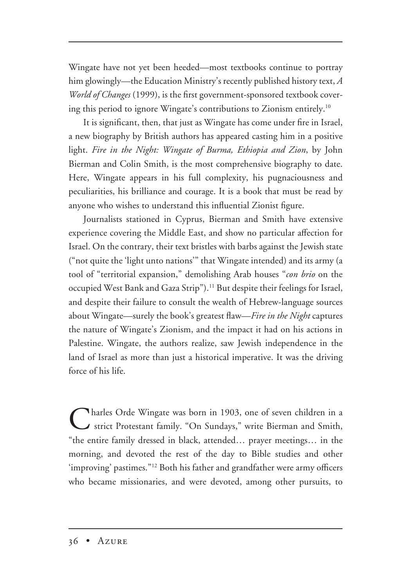Wingate have not yet been heeded—most textbooks continue to portray him glowingly—the Education Ministry's recently published history text, *A World of Changes* (1999), is the first government-sponsored textbook covering this period to ignore Wingate's contributions to Zionism entirely.10

It is significant, then, that just as Wingate has come under fire in Israel, a new biography by British authors has appeared casting him in a positive light. *Fire in the Night: Wingate of Burma, Ethiopia and Zion*, by John Bierman and Colin Smith, is the most comprehensive biography to date. Here, Wingate appears in his full complexity, his pugnaciousness and peculiarities, his brilliance and courage. It is a book that must be read by anyone who wishes to understand this influential Zionist figure.

Journalists stationed in Cyprus, Bierman and Smith have extensive experience covering the Middle East, and show no particular affection for Israel. On the contrary, their text bristles with barbs against the Jewish state ("not quite the 'light unto nations'" that Wingate intended) and its army (a tool of "territorial expansion," demolishing Arab houses "*con brio* on the occupied West Bank and Gaza Strip").<sup>11</sup> But despite their feelings for Israel, and despite their failure to consult the wealth of Hebrew-language sources about Wingate—surely the book's greatest flaw—*Fire in the Night* captures the nature of Wingate's Zionism, and the impact it had on his actions in Palestine. Wingate, the authors realize, saw Jewish independence in the land of Israel as more than just a historical imperative. It was the driving force of his life.

Tharles Orde Wingate was born in 1903, one of seven children in a strict Protestant family. "On Sundays," write Bierman and Smith, "the entire family dressed in black, attended… prayer meetings… in the morning, and devoted the rest of the day to Bible studies and other 'improving' pastimes."12 Both his father and grandfather were army officers who became missionaries, and were devoted, among other pursuits, to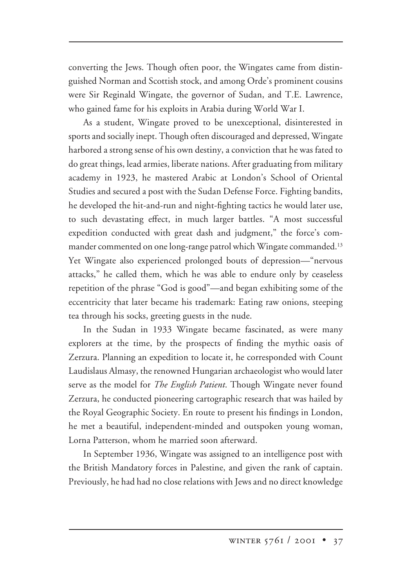converting the Jews. Though often poor, the Wingates came from distinguished Norman and Scottish stock, and among Orde's prominent cousins were Sir Reginald Wingate, the governor of Sudan, and T.E. Lawrence, who gained fame for his exploits in Arabia during World War I.

As a student, Wingate proved to be unexceptional, disinterested in sports and socially inept. Though often discouraged and depressed, Wingate harbored a strong sense of his own destiny, a conviction that he was fated to do great things, lead armies, liberate nations. After graduating from military academy in 1923, he mastered Arabic at London's School of Oriental Studies and secured a post with the Sudan Defense Force. Fighting bandits, he developed the hit-and-run and night-fighting tactics he would later use, to such devastating effect, in much larger battles. "A most successful expedition conducted with great dash and judgment," the force's commander commented on one long-range patrol which Wingate commanded.<sup>13</sup> Yet Wingate also experienced prolonged bouts of depression—"nervous attacks," he called them, which he was able to endure only by ceaseless repetition of the phrase "God is good"—and began exhibiting some of the eccentricity that later became his trademark: Eating raw onions, steeping tea through his socks, greeting guests in the nude.

In the Sudan in 1933 Wingate became fascinated, as were many explorers at the time, by the prospects of finding the mythic oasis of Zerzura. Planning an expedition to locate it, he corresponded with Count Laudislaus Almasy, the renowned Hungarian archaeologist who would later serve as the model for *The English Patient*. Though Wingate never found Zerzura, he conducted pioneering cartographic research that was hailed by the Royal Geographic Society. En route to present his findings in London, he met a beautiful, independent-minded and outspoken young woman, Lorna Patterson, whom he married soon afterward.

In September 1936, Wingate was assigned to an intelligence post with the British Mandatory forces in Palestine, and given the rank of captain. Previously, he had had no close relations with Jews and no direct knowledge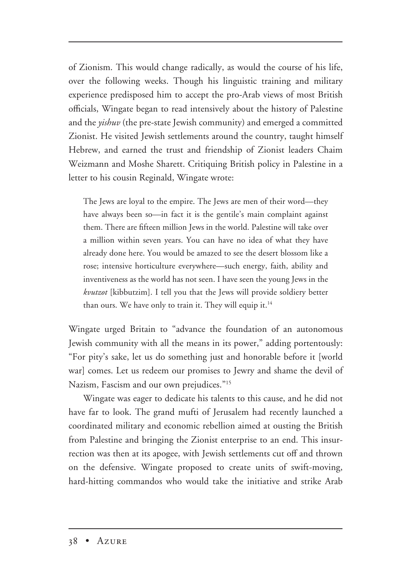of Zionism. This would change radically, as would the course of his life, over the following weeks. Though his linguistic training and military experience predisposed him to accept the pro-Arab views of most British officials, Wingate began to read intensively about the history of Palestine and the *yishuv* (the pre-state Jewish community) and emerged a committed Zionist. He visited Jewish settlements around the country, taught himself Hebrew, and earned the trust and friendship of Zionist leaders Chaim Weizmann and Moshe Sharett. Critiquing British policy in Palestine in a letter to his cousin Reginald, Wingate wrote:

The Jews are loyal to the empire. The Jews are men of their word—they have always been so—in fact it is the gentile's main complaint against them. There are fifteen million Jews in the world. Palestine will take over a million within seven years. You can have no idea of what they have already done here. You would be amazed to see the desert blossom like a rose; intensive horticulture everywhere—such energy, faith, ability and inventiveness as the world has not seen. I have seen the young Jews in the *kvutzot* [kibbutzim]. I tell you that the Jews will provide soldiery better than ours. We have only to train it. They will equip it.<sup>14</sup>

Wingate urged Britain to "advance the foundation of an autonomous Jewish community with all the means in its power," adding portentously: "For pity's sake, let us do something just and honorable before it [world war] comes. Let us redeem our promises to Jewry and shame the devil of Nazism, Fascism and our own prejudices."15

Wingate was eager to dedicate his talents to this cause, and he did not have far to look. The grand mufti of Jerusalem had recently launched a coordinated military and economic rebellion aimed at ousting the British from Palestine and bringing the Zionist enterprise to an end. This insurrection was then at its apogee, with Jewish settlements cut off and thrown on the defensive. Wingate proposed to create units of swift-moving, hard-hitting commandos who would take the initiative and strike Arab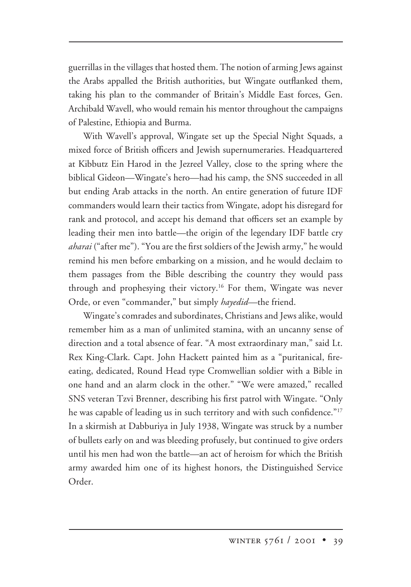guerrillas in the villages that hosted them. The notion of arming Jews against the Arabs appalled the British authorities, but Wingate outflanked them, taking his plan to the commander of Britain's Middle East forces, Gen. Archibald Wavell, who would remain his mentor throughout the campaigns of Palestine, Ethiopia and Burma.

With Wavell's approval, Wingate set up the Special Night Squads, a mixed force of British officers and Jewish supernumeraries. Headquartered at Kibbutz Ein Harod in the Jezreel Valley, close to the spring where the biblical Gideon—Wingate's hero—had his camp, the SNS succeeded in all but ending Arab attacks in the north. An entire generation of future IDF commanders would learn their tactics from Wingate, adopt his disregard for rank and protocol, and accept his demand that officers set an example by leading their men into battle—the origin of the legendary IDF battle cry *aharai* ("after me"). "You are the first soldiers of the Jewish army," he would remind his men before embarking on a mission, and he would declaim to them passages from the Bible describing the country they would pass through and prophesying their victory.16 For them, Wingate was never Orde, or even "commander," but simply *hayedid—*the friend.

Wingate's comrades and subordinates, Christians and Jews alike, would remember him as a man of unlimited stamina, with an uncanny sense of direction and a total absence of fear. "A most extraordinary man," said Lt. Rex King-Clark. Capt. John Hackett painted him as a "puritanical, fireeating, dedicated, Round Head type Cromwellian soldier with a Bible in one hand and an alarm clock in the other." "We were amazed," recalled SNS veteran Tzvi Brenner, describing his first patrol with Wingate. "Only he was capable of leading us in such territory and with such confidence."<sup>17</sup> In a skirmish at Dabburiya in July 1938, Wingate was struck by a number of bullets early on and was bleeding profusely, but continued to give orders until his men had won the battle—an act of heroism for which the British army awarded him one of its highest honors, the Distinguished Service Order.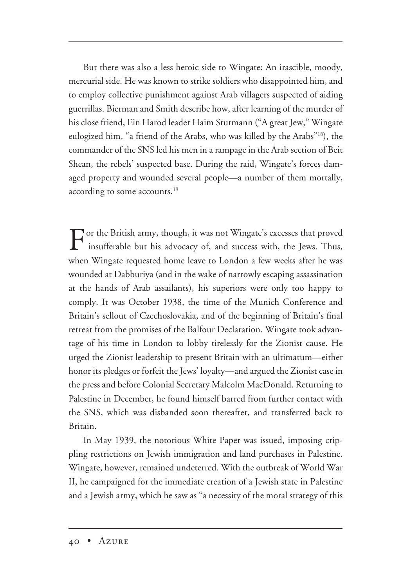But there was also a less heroic side to Wingate: An irascible, moody, mercurial side. He was known to strike soldiers who disappointed him, and to employ collective punishment against Arab villagers suspected of aiding guerrillas. Bierman and Smith describe how, after learning of the murder of his close friend, Ein Harod leader Haim Sturmann ("A great Jew," Wingate eulogized him, "a friend of the Arabs, who was killed by the Arabs"18), the commander of the SNS led his men in a rampage in the Arab section of Beit Shean, the rebels' suspected base. During the raid, Wingate's forces damaged property and wounded several people—a number of them mortally, according to some accounts.<sup>19</sup>

For the British army, though, it was not Wingate's excesses that proved insufferable but his advocacy of, and success with, the Jews. Thus, when Wingate requested home leave to London a few weeks after he was wounded at Dabburiya (and in the wake of narrowly escaping assassination at the hands of Arab assailants), his superiors were only too happy to comply. It was October 1938, the time of the Munich Conference and Britain's sellout of Czechoslovakia, and of the beginning of Britain's final retreat from the promises of the Balfour Declaration. Wingate took advantage of his time in London to lobby tirelessly for the Zionist cause. He urged the Zionist leadership to present Britain with an ultimatum—either honor its pledges or forfeit the Jews' loyalty—and argued the Zionist case in the press and before Colonial Secretary Malcolm MacDonald. Returning to Palestine in December, he found himself barred from further contact with the SNS, which was disbanded soon thereafter, and transferred back to Britain.

In May 1939, the notorious White Paper was issued, imposing crippling restrictions on Jewish immigration and land purchases in Palestine. Wingate, however, remained undeterred. With the outbreak of World War II, he campaigned for the immediate creation of a Jewish state in Palestine and a Jewish army, which he saw as "a necessity of the moral strategy of this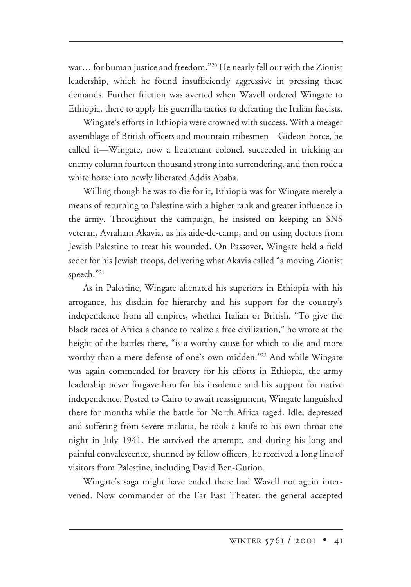war... for human justice and freedom."<sup>20</sup> He nearly fell out with the Zionist leadership, which he found insufficiently aggressive in pressing these demands. Further friction was averted when Wavell ordered Wingate to Ethiopia, there to apply his guerrilla tactics to defeating the Italian fascists.

Wingate's efforts in Ethiopia were crowned with success. With a meager assemblage of British officers and mountain tribesmen—Gideon Force, he called it—Wingate, now a lieutenant colonel, succeeded in tricking an enemy column fourteen thousand strong into surrendering, and then rode a white horse into newly liberated Addis Ababa.

Willing though he was to die for it, Ethiopia was for Wingate merely a means of returning to Palestine with a higher rank and greater influence in the army. Throughout the campaign, he insisted on keeping an SNS veteran, Avraham Akavia, as his aide-de-camp, and on using doctors from Jewish Palestine to treat his wounded. On Passover, Wingate held a field seder for his Jewish troops, delivering what Akavia called "a moving Zionist speech."21

As in Palestine, Wingate alienated his superiors in Ethiopia with his arrogance, his disdain for hierarchy and his support for the country's independence from all empires, whether Italian or British. "To give the black races of Africa a chance to realize a free civilization," he wrote at the height of the battles there, "is a worthy cause for which to die and more worthy than a mere defense of one's own midden."<sup>22</sup> And while Wingate was again commended for bravery for his efforts in Ethiopia, the army leadership never forgave him for his insolence and his support for native independence. Posted to Cairo to await reassignment, Wingate languished there for months while the battle for North Africa raged. Idle, depressed and suffering from severe malaria, he took a knife to his own throat one night in July 1941. He survived the attempt, and during his long and painful convalescence, shunned by fellow officers, he received a long line of visitors from Palestine, including David Ben-Gurion.

Wingate's saga might have ended there had Wavell not again intervened. Now commander of the Far East Theater, the general accepted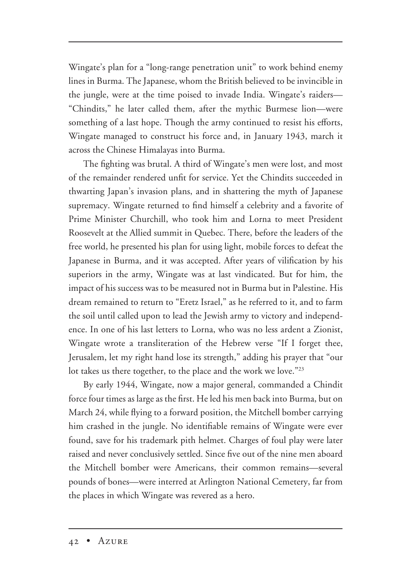Wingate's plan for a "long-range penetration unit" to work behind enemy lines in Burma. The Japanese, whom the British believed to be invincible in the jungle, were at the time poised to invade India. Wingate's raiders— "Chindits," he later called them, after the mythic Burmese lion—were something of a last hope. Though the army continued to resist his efforts, Wingate managed to construct his force and, in January 1943, march it across the Chinese Himalayas into Burma.

The fighting was brutal. A third of Wingate's men were lost, and most of the remainder rendered unfit for service. Yet the Chindits succeeded in thwarting Japan's invasion plans, and in shattering the myth of Japanese supremacy. Wingate returned to find himself a celebrity and a favorite of Prime Minister Churchill, who took him and Lorna to meet President Roosevelt at the Allied summit in Quebec. There, before the leaders of the free world, he presented his plan for using light, mobile forces to defeat the Japanese in Burma, and it was accepted. After years of vilification by his superiors in the army, Wingate was at last vindicated. But for him, the impact of his success was to be measured not in Burma but in Palestine. His dream remained to return to "Eretz Israel," as he referred to it, and to farm the soil until called upon to lead the Jewish army to victory and independence. In one of his last letters to Lorna, who was no less ardent a Zionist, Wingate wrote a transliteration of the Hebrew verse "If I forget thee, Jerusalem, let my right hand lose its strength," adding his prayer that "our lot takes us there together, to the place and the work we love."<sup>23</sup>

By early 1944, Wingate, now a major general, commanded a Chindit force four times as large as the first. He led his men back into Burma, but on March 24, while flying to a forward position, the Mitchell bomber carrying him crashed in the jungle. No identifiable remains of Wingate were ever found, save for his trademark pith helmet. Charges of foul play were later raised and never conclusively settled. Since five out of the nine men aboard the Mitchell bomber were Americans, their common remains—several pounds of bones—were interred at Arlington National Cemetery, far from the places in which Wingate was revered as a hero.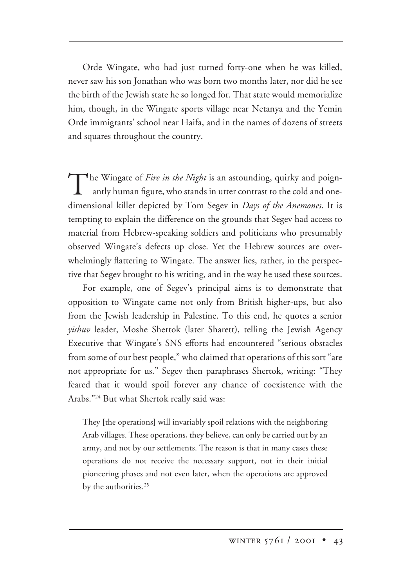Orde Wingate, who had just turned forty-one when he was killed, never saw his son Jonathan who was born two months later, nor did he see the birth of the Jewish state he so longed for. That state would memorialize him, though, in the Wingate sports village near Netanya and the Yemin Orde immigrants' school near Haifa, and in the names of dozens of streets and squares throughout the country.

The Wingate of *Fire in the Night* is an astounding, quirky and poignantly human figure, who stands in utter contrast to the cold and onedimensional killer depicted by Tom Segev in *Days of the Anemones*. It is tempting to explain the difference on the grounds that Segev had access to material from Hebrew-speaking soldiers and politicians who presumably observed Wingate's defects up close. Yet the Hebrew sources are overwhelmingly flattering to Wingate. The answer lies, rather, in the perspective that Segev brought to his writing, and in the way he used these sources.

For example, one of Segev's principal aims is to demonstrate that opposition to Wingate came not only from British higher-ups, but also from the Jewish leadership in Palestine. To this end, he quotes a senior *yishuv* leader, Moshe Shertok (later Sharett), telling the Jewish Agency Executive that Wingate's SNS efforts had encountered "serious obstacles from some of our best people," who claimed that operations of this sort "are not appropriate for us." Segev then paraphrases Shertok, writing: "They feared that it would spoil forever any chance of coexistence with the Arabs."24 But what Shertok really said was:

They [the operations] will invariably spoil relations with the neighboring Arab villages. These operations, they believe, can only be carried out by an army, and not by our settlements. The reason is that in many cases these operations do not receive the necessary support, not in their initial pioneering phases and not even later, when the operations are approved by the authorities.<sup>25</sup>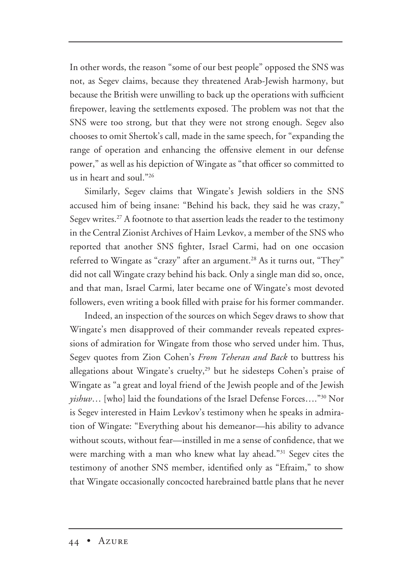In other words, the reason "some of our best people" opposed the SNS was not, as Segev claims, because they threatened Arab-Jewish harmony, but because the British were unwilling to back up the operations with sufficient firepower, leaving the settlements exposed. The problem was not that the SNS were too strong, but that they were not strong enough. Segev also chooses to omit Shertok's call, made in the same speech, for "expanding the range of operation and enhancing the offensive element in our defense power," as well as his depiction of Wingate as "that officer so committed to us in heart and soul."26

Similarly, Segev claims that Wingate's Jewish soldiers in the SNS accused him of being insane: "Behind his back, they said he was crazy," Segev writes.<sup>27</sup> A footnote to that assertion leads the reader to the testimony in the Central Zionist Archives of Haim Levkov, a member of the SNS who reported that another SNS fighter, Israel Carmi, had on one occasion referred to Wingate as "crazy" after an argument.<sup>28</sup> As it turns out, "They" did not call Wingate crazy behind his back. Only a single man did so, once, and that man, Israel Carmi, later became one of Wingate's most devoted followers, even writing a book filled with praise for his former commander.

Indeed, an inspection of the sources on which Segev draws to show that Wingate's men disapproved of their commander reveals repeated expressions of admiration for Wingate from those who served under him. Thus, Segev quotes from Zion Cohen's *From Teheran and Back* to buttress his allegations about Wingate's cruelty,<sup>29</sup> but he sidesteps Cohen's praise of Wingate as "a great and loyal friend of the Jewish people and of the Jewish *yishuv*… [who] laid the foundations of the Israel Defense Forces…."30 Nor is Segev interested in Haim Levkov's testimony when he speaks in admiration of Wingate: "Everything about his demeanor—his ability to advance without scouts, without fear—instilled in me a sense of confidence, that we were marching with a man who knew what lay ahead."31 Segev cites the testimony of another SNS member, identified only as "Efraim," to show that Wingate occasionally concocted harebrained battle plans that he never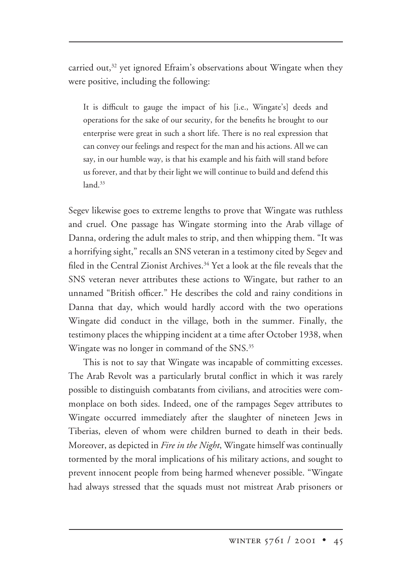carried out, $32$  yet ignored Efraim's observations about Wingate when they were positive, including the following:

It is difficult to gauge the impact of his [i.e., Wingate's] deeds and operations for the sake of our security, for the benefits he brought to our enterprise were great in such a short life. There is no real expression that can convey our feelings and respect for the man and his actions. All we can say, in our humble way, is that his example and his faith will stand before us forever, and that by their light we will continue to build and defend this  $land.<sup>33</sup>$ 

Segev likewise goes to extreme lengths to prove that Wingate was ruthless and cruel. One passage has Wingate storming into the Arab village of Danna, ordering the adult males to strip, and then whipping them. "It was a horrifying sight," recalls an SNS veteran in a testimony cited by Segev and filed in the Central Zionist Archives.<sup>34</sup> Yet a look at the file reveals that the SNS veteran never attributes these actions to Wingate, but rather to an unnamed "British officer." He describes the cold and rainy conditions in Danna that day, which would hardly accord with the two operations Wingate did conduct in the village, both in the summer. Finally, the testimony places the whipping incident at a time after October 1938, when Wingate was no longer in command of the SNS.<sup>35</sup>

This is not to say that Wingate was incapable of committing excesses. The Arab Revolt was a particularly brutal conflict in which it was rarely possible to distinguish combatants from civilians, and atrocities were commonplace on both sides. Indeed, one of the rampages Segev attributes to Wingate occurred immediately after the slaughter of nineteen Jews in Tiberias, eleven of whom were children burned to death in their beds. Moreover, as depicted in *Fire in the Night*, Wingate himself was continually tormented by the moral implications of his military actions, and sought to prevent innocent people from being harmed whenever possible. "Wingate had always stressed that the squads must not mistreat Arab prisoners or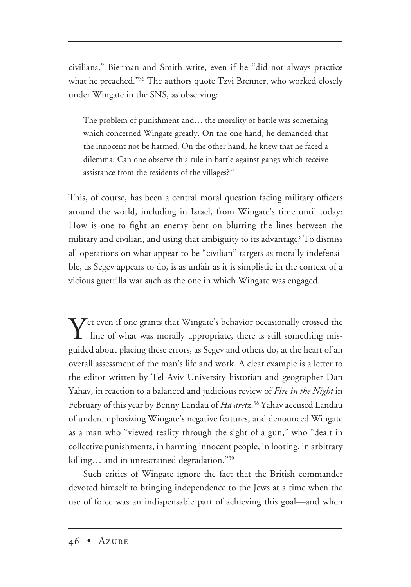civilians," Bierman and Smith write, even if he "did not always practice what he preached."<sup>36</sup> The authors quote Tzvi Brenner, who worked closely under Wingate in the SNS, as observing:

The problem of punishment and… the morality of battle was something which concerned Wingate greatly. On the one hand, he demanded that the innocent not be harmed. On the other hand, he knew that he faced a dilemma: Can one observe this rule in battle against gangs which receive assistance from the residents of the villages?<sup>37</sup>

This, of course, has been a central moral question facing military officers around the world, including in Israel, from Wingate's time until today: How is one to fight an enemy bent on blurring the lines between the military and civilian, and using that ambiguity to its advantage? To dismiss all operations on what appear to be "civilian" targets as morally indefensible, as Segev appears to do, is as unfair as it is simplistic in the context of a vicious guerrilla war such as the one in which Wingate was engaged.

Yet even if one grants that Wingate's behavior occasionally crossed the line of what was morally appropriate, there is still something misguided about placing these errors, as Segev and others do, at the heart of an overall assessment of the man's life and work. A clear example is a letter to the editor written by Tel Aviv University historian and geographer Dan Yahav, in reaction to a balanced and judicious review of *Fire in the Night* in February of this year by Benny Landau of *Ha'aretz*. <sup>38</sup> Yahav accused Landau of underemphasizing Wingate's negative features, and denounced Wingate as a man who "viewed reality through the sight of a gun," who "dealt in collective punishments, in harming innocent people, in looting, in arbitrary killing… and in unrestrained degradation."39

Such critics of Wingate ignore the fact that the British commander devoted himself to bringing independence to the Jews at a time when the use of force was an indispensable part of achieving this goal—and when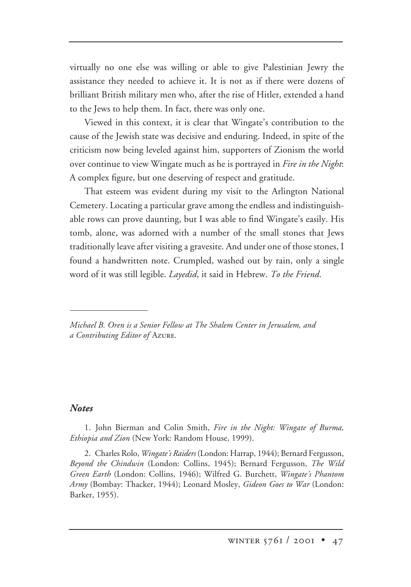virtually no one else was willing or able to give Palestinian Jewry the assistance they needed to achieve it. It is not as if there were dozens of brilliant British military men who, after the rise of Hitler, extended a hand to the Jews to help them. In fact, there was only one.

Viewed in this context, it is clear that Wingate's contribution to the cause of the Jewish state was decisive and enduring. Indeed, in spite of the criticism now being leveled against him, supporters of Zionism the world over continue to view Wingate much as he is portrayed in *Fire in the Night*: A complex figure, but one deserving of respect and gratitude.

That esteem was evident during my visit to the Arlington National Cemetery. Locating a particular grave among the endless and indistinguishable rows can prove daunting, but I was able to find Wingate's easily. His tomb, alone, was adorned with a number of the small stones that Jews traditionally leave after visiting a gravesite. And under one of those stones, I found a handwritten note. Crumpled, washed out by rain, only a single word of it was still legible. *Layedid*, it said in Hebrew. *To the Friend*.

## *Notes*

1. John Bierman and Colin Smith, *Fire in the Night: Wingate of Burma, Ethiopia and Zion* (New York: Random House, 1999).

2. Charles Rolo, *Wingate's Raiders* (London: Harrap, 1944); Bernard Fergusson, *Beyond the Chindwin* (London: Collins, 1945); Bernard Fergusson, *The Wild Green Earth* (London: Collins, 1946); Wilfred G. Burchett, *Wingate's Phantom Army* (Bombay: Thacker, 1944); Leonard Mosley, *Gideon Goes to War* (London: Barker, 1955).

*Michael B. Oren is a Senior Fellow at The Shalem Center in Jerusalem, and a Contributing Editor of* Azure*.*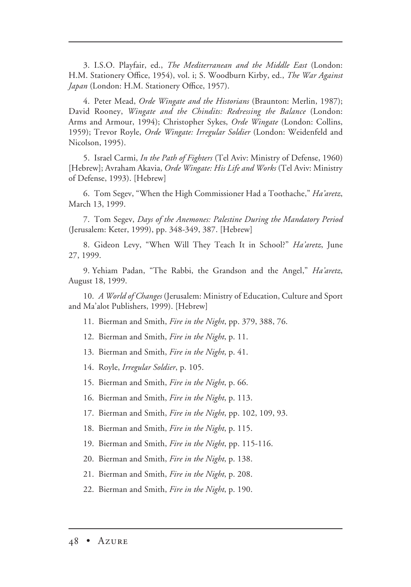3. I.S.O. Playfair, ed., *The Mediterranean and the Middle East* (London: H.M. Stationery Office, 1954), vol. i; S. Woodburn Kirby, ed., *The War Against Japan* (London: H.M. Stationery Office, 1957).

4. Peter Mead, *Orde Wingate and the Historians* (Braunton: Merlin, 1987); David Rooney, *Wingate and the Chindits: Redressing the Balance* (London: Arms and Armour, 1994); Christopher Sykes, *Orde Wingate* (London: Collins, 1959); Trevor Royle, *Orde Wingate: Irregular Soldier* (London: Weidenfeld and Nicolson, 1995).

5. Israel Carmi, *In the Path of Fighters* (Tel Aviv: Ministry of Defense, 1960) [Hebrew]; Avraham Akavia, *Orde Wingate: His Life and Works* (Tel Aviv: Ministry of Defense, 1993). [Hebrew]

6. Tom Segev, "When the High Commissioner Had a Toothache," *Ha'aretz*, March 13, 1999.

7. Tom Segev, *Days of the Anemones: Palestine During the Mandatory Period* (Jerusalem: Keter, 1999), pp. 348-349, 387. [Hebrew]

8. Gideon Levy, "When Will They Teach It in School?" *Ha'aretz*, June 27, 1999.

9. Yehiam Padan, "The Rabbi, the Grandson and the Angel," *Ha'aretz*, August 18, 1999.

10. *A World of Changes* (Jerusalem: Ministry of Education, Culture and Sport and Ma'alot Publishers, 1999). [Hebrew]

11. Bierman and Smith, *Fire in the Night*, pp. 379, 388, 76.

- 12. Bierman and Smith, *Fire in the Night*, p. 11.
- 13. Bierman and Smith, *Fire in the Night*, p. 41.
- 14. Royle, *Irregular Soldier*, p. 105.
- 15. Bierman and Smith, *Fire in the Night*, p. 66.

16. Bierman and Smith, *Fire in the Night*, p. 113.

17. Bierman and Smith, *Fire in the Night*, pp. 102, 109, 93.

18. Bierman and Smith, *Fire in the Night*, p. 115.

- 19. Bierman and Smith, *Fire in the Night*, pp. 115-116.
- 20. Bierman and Smith, *Fire in the Night*, p. 138.
- 21. Bierman and Smith, *Fire in the Night*, p. 208.
- 22. Bierman and Smith, *Fire in the Night*, p. 190.